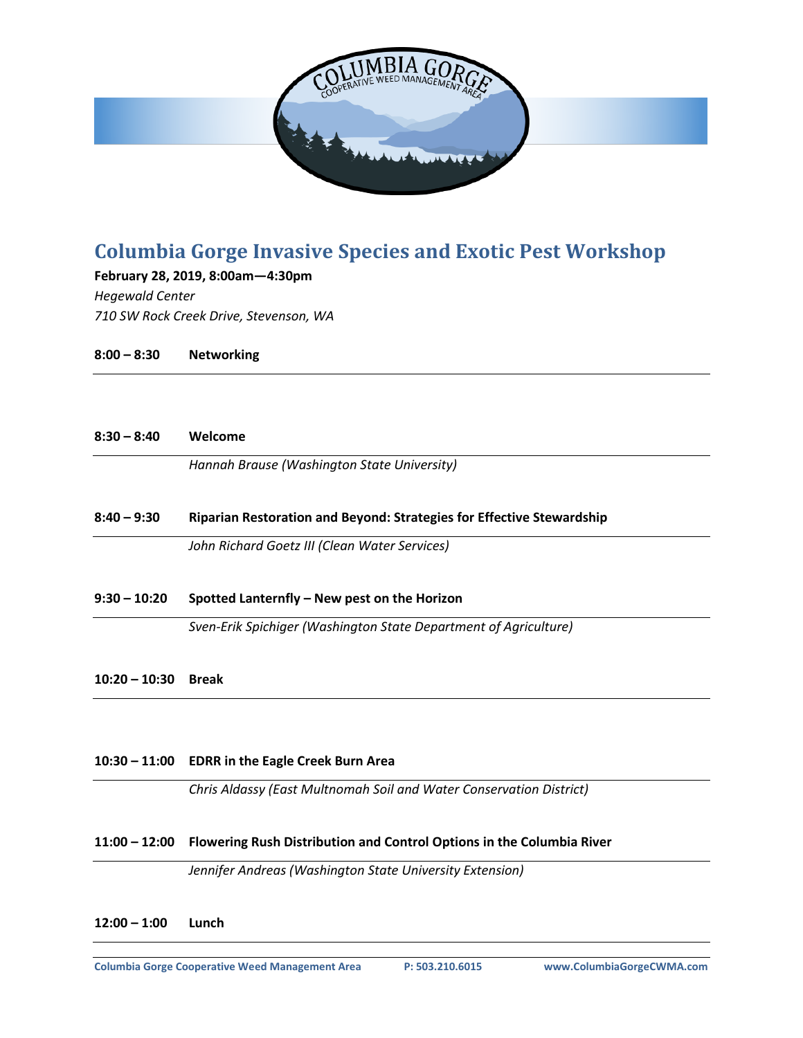

# **Columbia Gorge Invasive Species and Exotic Pest Workshop**

**February 28, 2019, 8:00am—4:30pm** *Hegewald Center 710 SW Rock Creek Drive, Stevenson, WA* 

**8:00 – 8:30 Networking**

## **8:30 – 8:40 Welcome**

*Hannah Brause (Washington State University)*

## **8:40 – 9:30 Riparian Restoration and Beyond: Strategies for Effective Stewardship**

*John Richard Goetz III (Clean Water Services)*

#### **9:30 – 10:20 Spotted Lanternfly – New pest on the Horizon**

*Sven-Erik Spichiger (Washington State Department of Agriculture)*

**10:20 – 10:30 Break**

#### **10:30 – 11:00 EDRR in the Eagle Creek Burn Area**

*Chris Aldassy (East Multnomah Soil and Water Conservation District)*

# **11:00 – 12:00 Flowering Rush Distribution and Control Options in the Columbia River**

*Jennifer Andreas (Washington State University Extension)*

**12:00 – 1:00 Lunch**